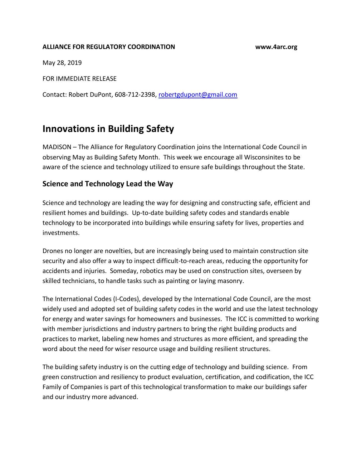## **ALLIANCE FOR REGULATORY COORDINATION www.4arc.org**

May 28, 2019

FOR IMMEDIATE RELEASE

Contact: Robert DuPont, 608-712-2398, [robertgdupont@gmail.com](mailto:robertgdupont@gmail.com)

## **Innovations in Building Safety**

MADISON – The Alliance for Regulatory Coordination joins the International Code Council in observing May as Building Safety Month. This week we encourage all Wisconsinites to be aware of the science and technology utilized to ensure safe buildings throughout the State.

## **Science and Technology Lead the Way**

Science and technology are leading the way for designing and constructing safe, efficient and resilient homes and buildings. Up-to-date building safety codes and standards enable technology to be incorporated into buildings while ensuring safety for lives, properties and investments.

Drones no longer are novelties, but are increasingly being used to maintain construction site security and also offer a way to inspect difficult-to-reach areas, reducing the opportunity for accidents and injuries. Someday, robotics may be used on construction sites, overseen by skilled technicians, to handle tasks such as painting or laying masonry.

The [International Codes](https://www.iccsafe.org/about-icc/building-safety-month/2019-week-five/codes-tech-support/codes/the-i-codes/) (I-Codes), developed by the International Code Council, are the most widely used and adopted set of building safety codes in the world and use the latest technology for energy and water savings for homeowners and businesses. The ICC is committed to working with member jurisdictions and industry partners to bring the right building products and practices to market, labeling new homes and structures as more efficient, and spreading the word about the need for wiser resource usage and building resilient structures.

The building safety industry is on the cutting edge of technology and building science. From green construction and resiliency to product evaluation, certification, and codification, the ICC Family of Companies is part of this technological transformation to make our buildings safer and our industry more advanced.